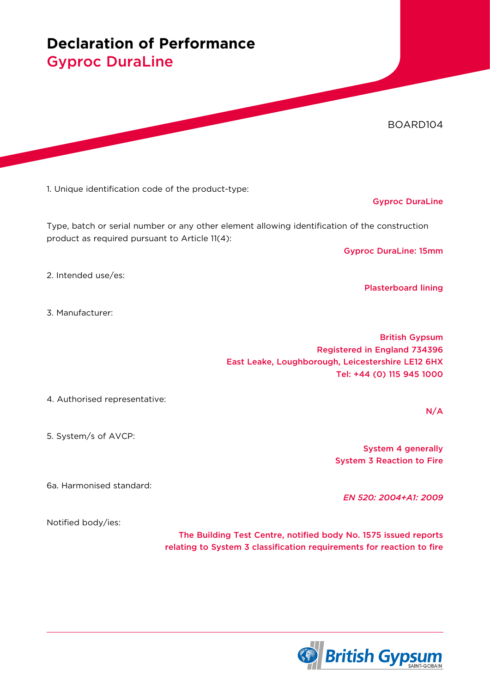